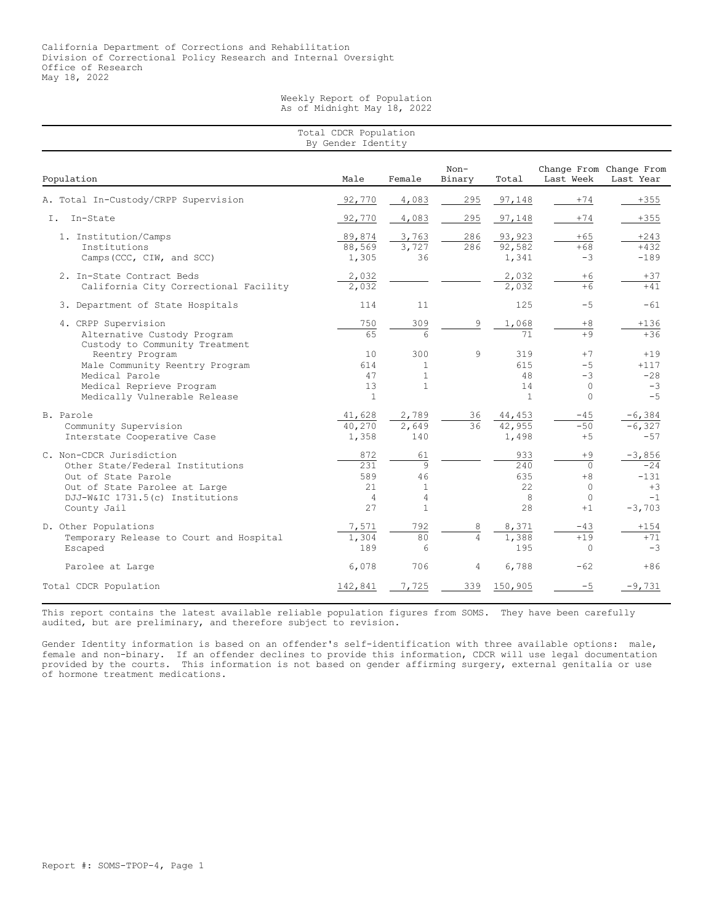Weekly Report of Population As of Midnight May 18, 2022

| Total CDCR Population<br>By Gender Identity                                                                                                                            |                                                   |                                                                 |                     |                                        |                                                         |                                                         |  |  |
|------------------------------------------------------------------------------------------------------------------------------------------------------------------------|---------------------------------------------------|-----------------------------------------------------------------|---------------------|----------------------------------------|---------------------------------------------------------|---------------------------------------------------------|--|--|
| Population                                                                                                                                                             | Male                                              | Female                                                          | $Non-$<br>Binary    | Total                                  | Last Week                                               | Change From Change From<br>Last Year                    |  |  |
| A. Total In-Custody/CRPP Supervision                                                                                                                                   | 92,770                                            | 4,083                                                           | 295                 | 97,148                                 | $+74$                                                   | $+355$                                                  |  |  |
| In-State<br>Ι.                                                                                                                                                         | 92,770                                            | 4,083                                                           | 295                 | 97,148                                 | $+74$                                                   | $+355$                                                  |  |  |
| 1. Institution/Camps<br>Institutions<br>Camps (CCC, CIW, and SCC)                                                                                                      | 89,874<br>88,569<br>1,305                         | 3,763<br>3,727<br>36                                            | 286<br>286          | 93,923<br>92,582<br>1,341              | $+65$<br>$+68$<br>$-3$                                  | $+243$<br>$+432$<br>$-189$                              |  |  |
| 2. In-State Contract Beds<br>California City Correctional Facility                                                                                                     | 2,032<br>2,032                                    |                                                                 |                     | 2,032<br>2,032                         | $+6$<br>$+6$                                            | $+37$<br>$+41$                                          |  |  |
| 3. Department of State Hospitals                                                                                                                                       | 114                                               | 11                                                              |                     | 125                                    | $-5$                                                    | $-61$                                                   |  |  |
| 4. CRPP Supervision<br>Alternative Custody Program<br>Custody to Community Treatment                                                                                   | 750<br>65                                         | 309<br>$\epsilon$                                               | 9                   | 1,068<br>71                            | $+8$<br>$+9$                                            | $+136$<br>$+36$                                         |  |  |
| Reentry Program<br>Male Community Reentry Program<br>Medical Parole<br>Medical Reprieve Program<br>Medically Vulnerable Release                                        | 10<br>614<br>47<br>13<br>$\mathbf{1}$             | 300<br>1<br>$\mathbf{1}$<br>$\mathbf{1}$                        | 9                   | 319<br>615<br>48<br>14<br>$\mathbf{1}$ | $+7$<br>$-5$<br>$-3$<br>$\circ$<br>$\Omega$             | $+19$<br>$+117$<br>$-28$<br>$-3$<br>$-5$                |  |  |
| B. Parole<br>Community Supervision<br>Interstate Cooperative Case                                                                                                      | 41,628<br>40,270<br>1,358                         | 2,789<br>2,649<br>140                                           | 36<br>36            | 44,453<br>42,955<br>1,498              | $-45$<br>$-50$<br>$+5$                                  | $-6,384$<br>$-6,327$<br>$-57$                           |  |  |
| C. Non-CDCR Jurisdiction<br>Other State/Federal Institutions<br>Out of State Parole<br>Out of State Parolee at Large<br>DJJ-W&IC 1731.5(c) Institutions<br>County Jail | 872<br>231<br>589<br>2.1<br>$\overline{4}$<br>2.7 | 61<br>$\overline{9}$<br>46<br>$\mathbf{1}$<br>4<br>$\mathbf{1}$ |                     | 933<br>240<br>635<br>22<br>8<br>28     | $+9$<br>$\Omega$<br>$+8$<br>$\Omega$<br>$\circ$<br>$+1$ | $-3,856$<br>$-24$<br>$-131$<br>$+3$<br>$-1$<br>$-3,703$ |  |  |
| D. Other Populations<br>Temporary Release to Court and Hospital<br>Escaped                                                                                             | 7,571<br>1,304<br>189                             | 792<br>80<br>6                                                  | 8<br>$\overline{4}$ | 8,371<br>1,388<br>195                  | $-43$<br>$+19$<br>$\Omega$                              | $+154$<br>$+71$<br>$-3$                                 |  |  |
| Parolee at Large                                                                                                                                                       | 6,078                                             | 706                                                             | 4                   | 6,788                                  | $-62$                                                   | $+86$                                                   |  |  |
| Total CDCR Population                                                                                                                                                  | 142,841                                           | 7,725                                                           | 339                 | 150,905                                | $-5$                                                    | $-9,731$                                                |  |  |

This report contains the latest available reliable population figures from SOMS. They have been carefully audited, but are preliminary, and therefore subject to revision.

Gender Identity information is based on an offender's self-identification with three available options: male, female and non-binary. If an offender declines to provide this information, CDCR will use legal documentation provided by the courts. This information is not based on gender affirming surgery, external genitalia or use of hormone treatment medications.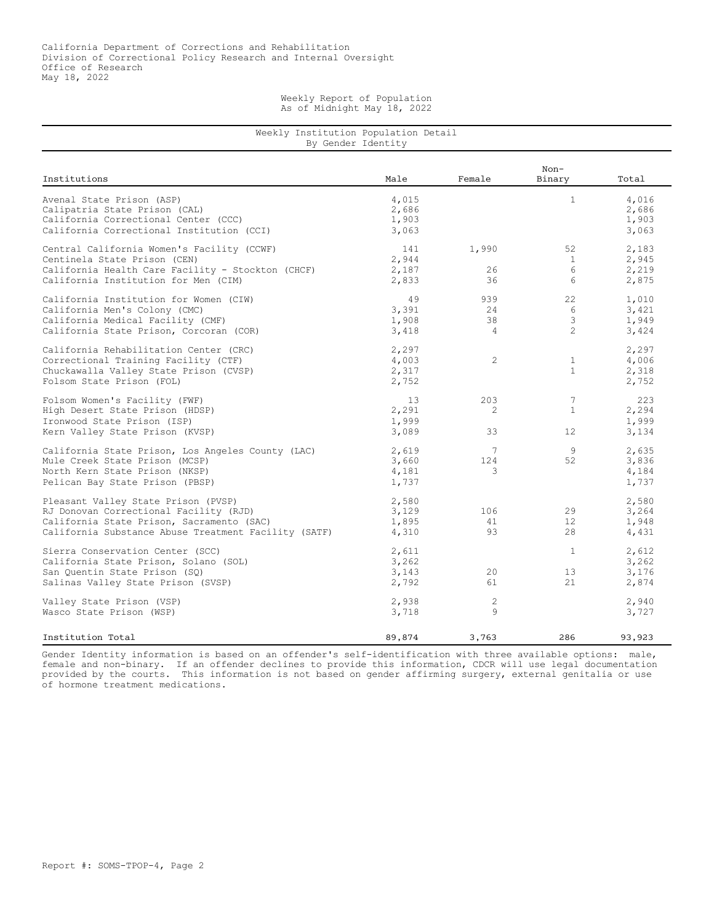## Weekly Report of Population As of Midnight May 18, 2022

## Weekly Institution Population Detail By Gender Identity

| Institutions                                                                                                                                                                       | Male                             | Female                             | $Non-$<br>Binary               | Total                            |
|------------------------------------------------------------------------------------------------------------------------------------------------------------------------------------|----------------------------------|------------------------------------|--------------------------------|----------------------------------|
| Avenal State Prison (ASP)<br>Calipatria State Prison (CAL)<br>California Correctional Center (CCC)<br>California Correctional Institution (CCI)                                    | 4,015<br>2,686<br>1,903<br>3,063 |                                    | $\mathbf{1}$                   | 4,016<br>2,686<br>1,903<br>3,063 |
| Central California Women's Facility (CCWF)<br>Centinela State Prison (CEN)<br>California Health Care Facility - Stockton (CHCF)<br>California Institution for Men (CIM)            | 141<br>2,944<br>2,187<br>2,833   | 1,990<br>26<br>36                  | 52<br>$\mathbf{1}$<br>6<br>6   | 2,183<br>2,945<br>2,219<br>2,875 |
| California Institution for Women (CIW)<br>California Men's Colony (CMC)<br>California Medical Facility (CMF)<br>California State Prison, Corcoran (COR)                            | 49<br>3,391<br>1,908<br>3,418    | 939<br>2.4<br>38<br>$\overline{4}$ | 22<br>6<br>3<br>$\mathfrak{D}$ | 1,010<br>3,421<br>1,949<br>3,424 |
| California Rehabilitation Center (CRC)<br>Correctional Training Facility (CTF)<br>Chuckawalla Valley State Prison (CVSP)<br>Folsom State Prison (FOL)                              | 2,297<br>4,003<br>2,317<br>2,752 | $\overline{c}$                     | $\mathbf{1}$<br>$\mathbf{1}$   | 2,297<br>4,006<br>2,318<br>2,752 |
| Folsom Women's Facility (FWF)<br>High Desert State Prison (HDSP)<br>Ironwood State Prison (ISP)<br>Kern Valley State Prison (KVSP)                                                 | 13<br>2,291<br>1,999<br>3,089    | 203<br>2<br>33                     | 7<br>$\mathbf{1}$<br>12        | 223<br>2,294<br>1,999<br>3,134   |
| California State Prison, Los Angeles County (LAC)<br>Mule Creek State Prison (MCSP)<br>North Kern State Prison (NKSP)<br>Pelican Bay State Prison (PBSP)                           | 2,619<br>3,660<br>4,181<br>1,737 | 7<br>124<br>3                      | 9<br>52                        | 2,635<br>3,836<br>4,184<br>1,737 |
| Pleasant Valley State Prison (PVSP)<br>RJ Donovan Correctional Facility (RJD)<br>California State Prison, Sacramento (SAC)<br>California Substance Abuse Treatment Facility (SATF) | 2,580<br>3,129<br>1,895<br>4,310 | 106<br>41<br>93                    | 29<br>12 <sup>°</sup><br>28    | 2,580<br>3,264<br>1,948<br>4,431 |
| Sierra Conservation Center (SCC)<br>California State Prison, Solano (SOL)<br>San Quentin State Prison (SQ)<br>Salinas Valley State Prison (SVSP)                                   | 2,611<br>3,262<br>3,143<br>2,792 | 20<br>61                           | $\mathbf{1}$<br>13<br>21       | 2,612<br>3,262<br>3,176<br>2,874 |
| Valley State Prison (VSP)<br>Wasco State Prison (WSP)                                                                                                                              | 2,938<br>3,718                   | $\overline{c}$<br>9                |                                | 2,940<br>3,727                   |
| Institution Total                                                                                                                                                                  | 89,874                           | 3,763                              | 286                            | 93,923                           |

Gender Identity information is based on an offender's self-identification with three available options: male, female and non-binary. If an offender declines to provide this information, CDCR will use legal documentation provided by the courts. This information is not based on gender affirming surgery, external genitalia or use of hormone treatment medications.